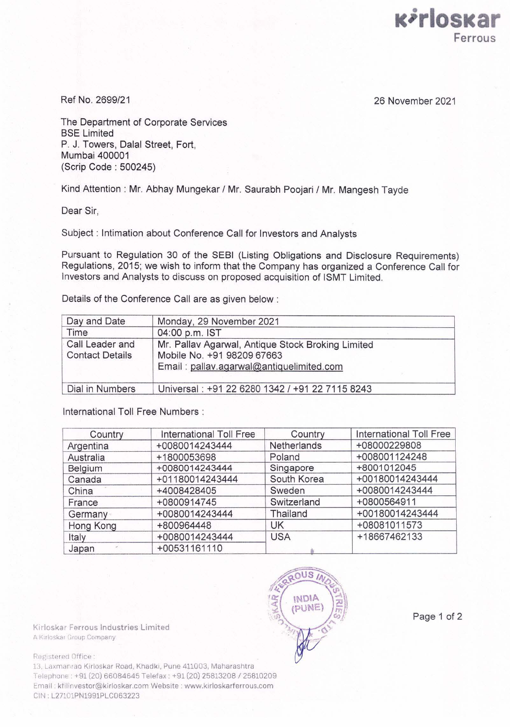

Ref No. 2699/21 26 November 2021

The Department of Corporate Services BSE Limited P. J. Towers, Dalal Street, Fort, Mumbai 400001 (Scrip Code : 500245)

Kind Attention : Mr. Abhay Mungekar / Mr. Saurabh Poojari / Mr. Mangesh Tayde

Dear Sir,

Subject : Intimation about Conference Call for Investors and Analysts

Pursuant to Regulation 30 of the SEBI (Listing Obligations and Disclosure Requirements) Regulations, 2015; we wish to inform that the Company has organized a Conference Call for Investors and Analysts to discuss on proposed acquisition of ISMT Limited.

Details of the Conference Call are as given below :

| Day and Date                              | Monday, 29 November 2021                                                                                                    |  |  |
|-------------------------------------------|-----------------------------------------------------------------------------------------------------------------------------|--|--|
| Time                                      | 04:00 p.m. IST                                                                                                              |  |  |
| Call Leader and<br><b>Contact Details</b> | Mr. Pallav Agarwal, Antique Stock Broking Limited<br>Mobile No. +91 98209 67663<br>Email: pallav.agarwal@antiquelimited.com |  |  |
| Dial in Numbers                           | Universal: +91 22 6280 1342 / +91 22 7115 8243                                                                              |  |  |

International Toll Free Numbers :

| Country   | International Toll Free | Country     | <b>International Toll Free</b> |
|-----------|-------------------------|-------------|--------------------------------|
| Argentina | +0080014243444          | Netherlands | +08000229808                   |
| Australia | +1800053698             | Poland      | +008001124248                  |
| Belgium   | +0080014243444          | Singapore   | +8001012045                    |
| Canada    | +01180014243444         | South Korea | +00180014243444                |
| China     | +4008428405             | Sweden      | +0080014243444                 |
| France    | +0800914745             | Switzerland | +0800564911                    |
| Germany   | +0080014243444          | Thailand    | +00180014243444                |
| Hong Kong | +800964448              | UK          | +08081011573                   |
| Italy     | +0080014243444          | <b>USA</b>  | +18667462133                   |
| Japan     | +00531161110            |             |                                |

Kirloskar Ferrous Industries Limited A Kirloskar Group Company

Registered Office:

13. Laxmanrao Kirloskar Road, Khadki, Pune 411003, Maharashtra Telephone +91 (20) 66084645 Telefax: +91 (20) 25813208 / 25810209 Email : kfilinvestor@kirloskar.com Website : www.kirloskarferrous.com CIN . L27101PN1981PLC063223



Page 1 of 2